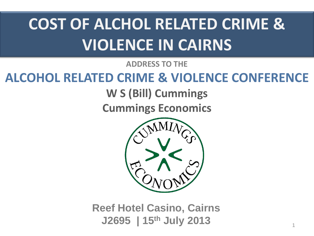# **COST OF ALCHOL RELATED CRIME & VIOLENCE IN CAIRNS**

**ADDRESS TO THE** 

#### **ALCOHOL RELATED CRIME & VIOLENCE CONFERENCE**

**W S (Bill) Cummings**

**Cummings Economics**



**Reef Hotel Casino, Cairns J2695 | 15th July 2013**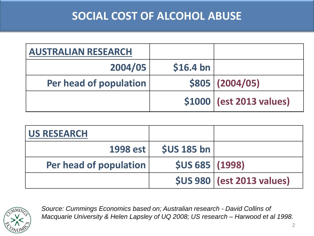#### **SOCIAL COST OF ALCOHOL ABUSE**

| <b>AUSTRALIAN RESEARCH</b> |            |                          |
|----------------------------|------------|--------------------------|
| 2004/05                    | $$16.4$ bn |                          |
| Per head of population     |            | \$805   (2004/05)        |
|                            |            | \$1000 (est 2013 values) |

| <b>US RESEARCH</b>     |                    |                                                     |
|------------------------|--------------------|-----------------------------------------------------|
| 1998 est               | <b>\$US 185 bn</b> |                                                     |
| Per head of population | \$US 685   (1998)  |                                                     |
|                        |                    | $\left  \right\rangle$ \$US 980   (est 2013 values) |



*Source: Cummings Economics based on; Australian research - David Collins of Macquarie University & Helen Lapsley of UQ 2008; US research – Harwood et al 1998.*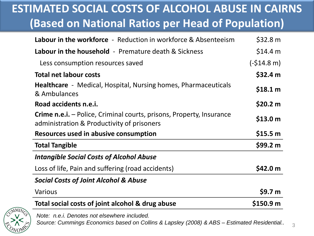#### **ESTIMATED SOCIAL COSTS OF ALCOHOL ABUSE IN CAIRNS (Based on National Ratios per Head of Population)**

| <b>Labour in the workforce</b> - Reduction in workforce & Absenteeism                                                     | \$32.8 m           |
|---------------------------------------------------------------------------------------------------------------------------|--------------------|
| <b>Labour in the household</b> - Premature death & Sickness                                                               | \$14.4 m           |
| Less consumption resources saved                                                                                          | $(-$14.8 m)$       |
| <b>Total net labour costs</b>                                                                                             | \$32.4 m           |
| <b>Healthcare</b> - Medical, Hospital, Nursing homes, Pharmaceuticals<br>& Ambulances                                     | \$18.1 m           |
| Road accidents n.e.i.                                                                                                     | \$20.2 m           |
| <b>Crime n.e.i.</b> – Police, Criminal courts, prisons, Property, Insurance<br>administration & Productivity of prisoners | \$13.0 m           |
| Resources used in abusive consumption                                                                                     | \$15.5 m           |
| <b>Total Tangible</b>                                                                                                     | \$99.2 m           |
| <b>Intangible Social Costs of Alcohol Abuse</b>                                                                           |                    |
| Loss of life, Pain and suffering (road accidents)                                                                         | \$42.0 m           |
| <b>Social Costs of Joint Alcohol &amp; Abuse</b>                                                                          |                    |
| Various                                                                                                                   | \$9.7 <sub>m</sub> |
| Total social costs of joint alcohol & drug abuse                                                                          | \$150.9 m          |



*Note: n.e.i. Denotes not elsewhere included. Source: Cummings Economics based on Collins & Lapsley (2008) & ABS – Estimated Residential..*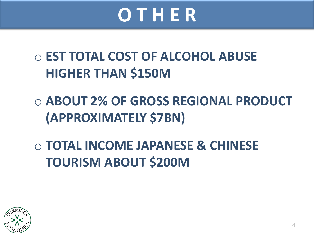# **O T H E R**

o **EST TOTAL COST OF ALCOHOL ABUSE HIGHER THAN \$150M**

o **ABOUT 2% OF GROSS REGIONAL PRODUCT (APPROXIMATELY \$7BN)**

o **TOTAL INCOME JAPANESE & CHINESE TOURISM ABOUT \$200M**

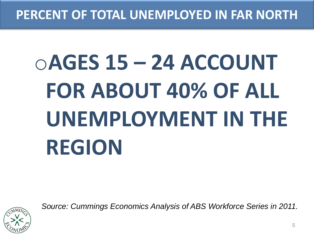#### **PERCENT OF TOTAL UNEMPLOYED IN FAR NORTH**

# o**AGES 15 – 24 ACCOUNT FOR ABOUT 40% OF ALL UNEMPLOYMENT IN THE REGION**



*Source: Cummings Economics Analysis of ABS Workforce Series in 2011.*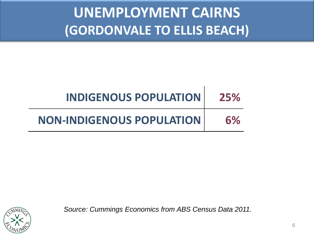## **UNEMPLOYMENT CAIRNS (GORDONVALE TO ELLIS BEACH)**

| <b>INDIGENOUS POPULATION</b>     | 25% |
|----------------------------------|-----|
| <b>NON-INDIGENOUS POPULATION</b> | 6%  |



*Source: Cummings Economics from ABS Census Data 2011.*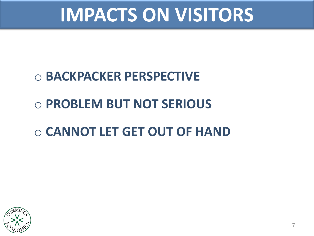# **IMPACTS ON VISITORS**

### o **BACKPACKER PERSPECTIVE**

### o **PROBLEM BUT NOT SERIOUS**

#### o **CANNOT LET GET OUT OF HAND**